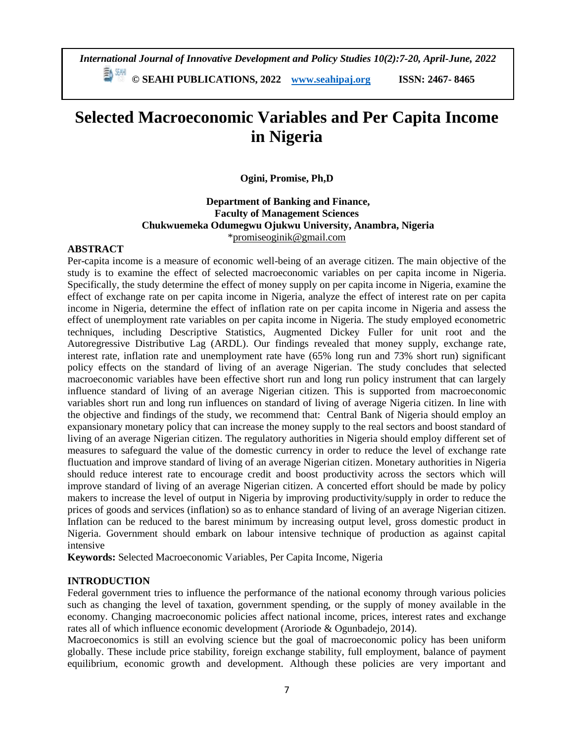*International Journal of Innovative Development and Policy Studies 10(2):7-20, April-June, 2022*

**© SEAHI PUBLICATIONS, 2022 [www.seahipaj.org](http://www.seahipaj.org/) ISSN: 2467- 8465**

# **Selected Macroeconomic Variables and Per Capita Income in Nigeria**

**Ogini, Promise, Ph,D**

# **Department of Banking and Finance, Faculty of Management Sciences Chukwuemeka Odumegwu Ojukwu University, Anambra, Nigeria**  [\\*promiseoginik@gmail.com](mailto:promiseoginik@gmail.com)

# **ABSTRACT**

Per-capita income is a measure of economic well-being of an average citizen. The main objective of the study is to examine the effect of selected macroeconomic variables on per capita income in Nigeria. Specifically, the study determine the effect of money supply on per capita income in Nigeria, examine the effect of exchange rate on per capita income in Nigeria, analyze the effect of interest rate on per capita income in Nigeria, determine the effect of inflation rate on per capita income in Nigeria and assess the effect of unemployment rate variables on per capita income in Nigeria. The study employed econometric techniques, including Descriptive Statistics, Augmented Dickey Fuller for unit root and the Autoregressive Distributive Lag (ARDL). Our findings revealed that money supply, exchange rate, interest rate, inflation rate and unemployment rate have (65% long run and 73% short run) significant policy effects on the standard of living of an average Nigerian. The study concludes that selected macroeconomic variables have been effective short run and long run policy instrument that can largely influence standard of living of an average Nigerian citizen. This is supported from macroeconomic variables short run and long run influences on standard of living of average Nigeria citizen. In line with the objective and findings of the study, we recommend that: Central Bank of Nigeria should employ an expansionary monetary policy that can increase the money supply to the real sectors and boost standard of living of an average Nigerian citizen. The regulatory authorities in Nigeria should employ different set of measures to safeguard the value of the domestic currency in order to reduce the level of exchange rate fluctuation and improve standard of living of an average Nigerian citizen. Monetary authorities in Nigeria should reduce interest rate to encourage credit and boost productivity across the sectors which will improve standard of living of an average Nigerian citizen. A concerted effort should be made by policy makers to increase the level of output in Nigeria by improving productivity/supply in order to reduce the prices of goods and services (inflation) so as to enhance standard of living of an average Nigerian citizen. Inflation can be reduced to the barest minimum by increasing output level, gross domestic product in Nigeria. Government should embark on labour intensive technique of production as against capital intensive

**Keywords:** Selected Macroeconomic Variables, Per Capita Income, Nigeria

# **INTRODUCTION**

Federal government tries to influence the performance of the national economy through various policies such as changing the level of taxation, government spending, or the supply of money available in the economy. Changing macroeconomic policies affect national income, prices, interest rates and exchange rates all of which influence economic development (Aroriode & Ogunbadejo, 2014).

Macroeconomics is still an evolving science but the goal of macroeconomic policy has been uniform globally. These include price stability, foreign exchange stability, full employment, balance of payment equilibrium, economic growth and development. Although these policies are very important and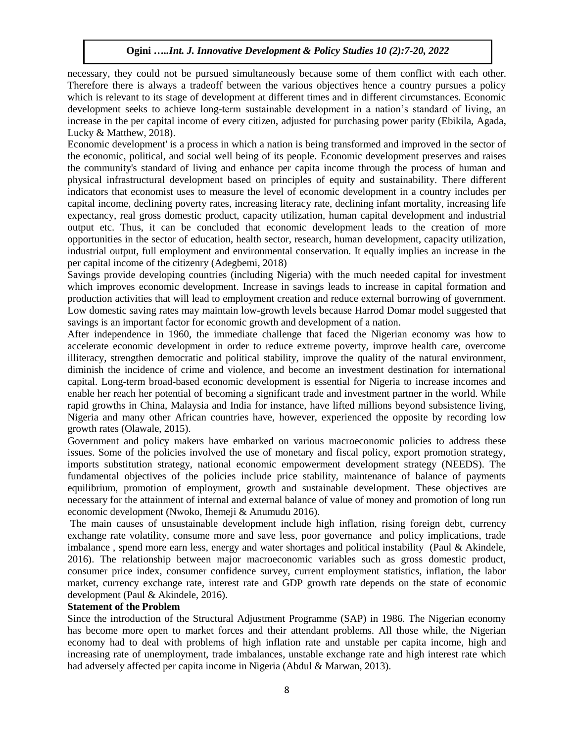necessary, they could not be pursued simultaneously because some of them conflict with each other. Therefore there is always a tradeoff between the various objectives hence a country pursues a policy which is relevant to its stage of development at different times and in different circumstances. Economic development seeks to achieve long-term sustainable development in a nation's standard of living, an increase in the per capital income of every citizen, adjusted for purchasing power parity (Ebikila, Agada, Lucky & Matthew, 2018).

Economic development' is a process in which a nation is being transformed and improved in the sector of the economic, political, and social well being of its people. Economic development preserves and raises the community's standard of living and enhance per capita income through the process of human and physical infrastructural development based on principles of equity and sustainability. There different indicators that economist uses to measure the level of economic development in a country includes per capital income, declining poverty rates, increasing literacy rate, declining infant mortality, increasing life expectancy, real gross domestic product, capacity utilization, human capital development and industrial output etc. Thus, it can be concluded that economic development leads to the creation of more opportunities in the sector of education, health sector, research, human development, capacity utilization, industrial output, full employment and environmental conservation. It equally implies an increase in the per capital income of the citizenry (Adegbemi, 2018)

Savings provide developing countries (including Nigeria) with the much needed capital for investment which improves economic development. Increase in savings leads to increase in capital formation and production activities that will lead to employment creation and reduce external borrowing of government. Low domestic saving rates may maintain low-growth levels because Harrod Domar model suggested that savings is an important factor for economic growth and development of a nation.

After independence in 1960, the immediate challenge that faced the Nigerian economy was how to accelerate economic development in order to reduce extreme poverty, improve health care, overcome illiteracy, strengthen democratic and political stability, improve the quality of the natural environment, diminish the incidence of crime and violence, and become an investment destination for international capital. Long-term broad-based economic development is essential for Nigeria to increase incomes and enable her reach her potential of becoming a significant trade and investment partner in the world. While rapid growths in China, Malaysia and India for instance, have lifted millions beyond subsistence living, Nigeria and many other African countries have, however, experienced the opposite by recording low growth rates (Olawale, 2015).

Government and policy makers have embarked on various macroeconomic policies to address these issues. Some of the policies involved the use of monetary and fiscal policy, export promotion strategy, imports substitution strategy, national economic empowerment development strategy (NEEDS). The fundamental objectives of the policies include price stability, maintenance of balance of payments equilibrium, promotion of employment, growth and sustainable development. These objectives are necessary for the attainment of internal and external balance of value of money and promotion of long run economic development (Nwoko, Ihemeji & Anumudu 2016).

The main causes of unsustainable development include high inflation, rising foreign debt, currency exchange rate volatility, consume more and save less, poor governance and policy implications, trade imbalance , spend more earn less, energy and water shortages and political instability (Paul & Akindele, 2016). The relationship between major macroeconomic variables such as gross domestic product, consumer price index, consumer confidence survey, current employment statistics, inflation, the labor market, currency exchange rate, interest rate and GDP growth rate depends on the state of economic development (Paul & Akindele, 2016).

#### **Statement of the Problem**

Since the introduction of the Structural Adjustment Programme (SAP) in 1986. The Nigerian economy has become more open to market forces and their attendant problems. All those while, the Nigerian economy had to deal with problems of high inflation rate and unstable per capita income, high and increasing rate of unemployment, trade imbalances, unstable exchange rate and high interest rate which had adversely affected per capita income in Nigeria (Abdul & Marwan, 2013).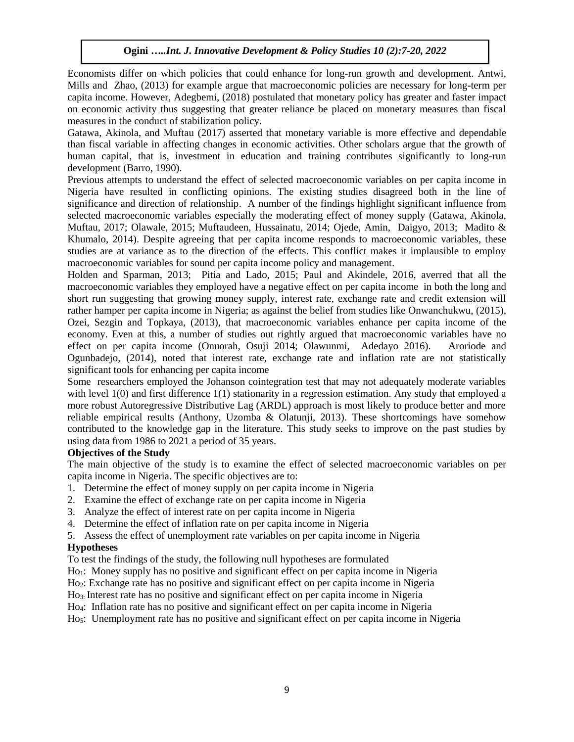Economists differ on which policies that could enhance for long-run growth and development. Antwi, Mills and Zhao, (2013) for example argue that macroeconomic policies are necessary for long-term per capita income. However, Adegbemi, (2018) postulated that monetary policy has greater and faster impact on economic activity thus suggesting that greater reliance be placed on monetary measures than fiscal measures in the conduct of stabilization policy.

Gatawa, Akinola, and Muftau (2017) asserted that monetary variable is more effective and dependable than fiscal variable in affecting changes in economic activities. Other scholars argue that the growth of human capital, that is, investment in education and training contributes significantly to long-run development (Barro, 1990).

Previous attempts to understand the effect of selected macroeconomic variables on per capita income in Nigeria have resulted in conflicting opinions. The existing studies disagreed both in the line of significance and direction of relationship. A number of the findings highlight significant influence from selected macroeconomic variables especially the moderating effect of money supply (Gatawa, Akinola, Muftau, 2017; Olawale, 2015; Muftaudeen, Hussainatu, 2014; Ojede, Amin, Daigyo, 2013; Madito & Khumalo, 2014). Despite agreeing that per capita income responds to macroeconomic variables, these studies are at variance as to the direction of the effects. This conflict makes it implausible to employ macroeconomic variables for sound per capita income policy and management.

Holden and Sparman, 2013; Pitia and Lado, 2015; Paul and Akindele, 2016, averred that all the macroeconomic variables they employed have a negative effect on per capita income in both the long and short run suggesting that growing money supply, interest rate, exchange rate and credit extension will rather hamper per capita income in Nigeria; as against the belief from studies like Onwanchukwu, (2015), Ozei, Sezgin and Topkaya, (2013), that macroeconomic variables enhance per capita income of the economy. Even at this, a number of studies out rightly argued that macroeconomic variables have no effect on per capita income (Onuorah, Osuji 2014; Olawunmi, Adedayo 2016). Aroriode and Ogunbadejo, (2014), noted that interest rate, exchange rate and inflation rate are not statistically significant tools for enhancing per capita income

Some researchers employed the Johanson cointegration test that may not adequately moderate variables with level 1(0) and first difference 1(1) stationarity in a regression estimation. Any study that employed a more robust Autoregressive Distributive Lag (ARDL) approach is most likely to produce better and more reliable empirical results (Anthony, Uzomba & Olatunji, 2013). These shortcomings have somehow contributed to the knowledge gap in the literature. This study seeks to improve on the past studies by using data from 1986 to 2021 a period of 35 years.

# **Objectives of the Study**

The main objective of the study is to examine the effect of selected macroeconomic variables on per capita income in Nigeria. The specific objectives are to:

- 1. Determine the effect of money supply on per capita income in Nigeria
- 2. Examine the effect of exchange rate on per capita income in Nigeria
- 3. Analyze the effect of interest rate on per capita income in Nigeria
- 4. Determine the effect of inflation rate on per capita income in Nigeria
- 5. Assess the effect of unemployment rate variables on per capita income in Nigeria

# **Hypotheses**

To test the findings of the study, the following null hypotheses are formulated

Ho1: Money supply has no positive and significant effect on per capita income in Nigeria

Ho2: Exchange rate has no positive and significant effect on per capita income in Nigeria

- Ho3: Interest rate has no positive and significant effect on per capita income in Nigeria
- Ho4: Inflation rate has no positive and significant effect on per capita income in Nigeria

Hos: Unemployment rate has no positive and significant effect on per capita income in Nigeria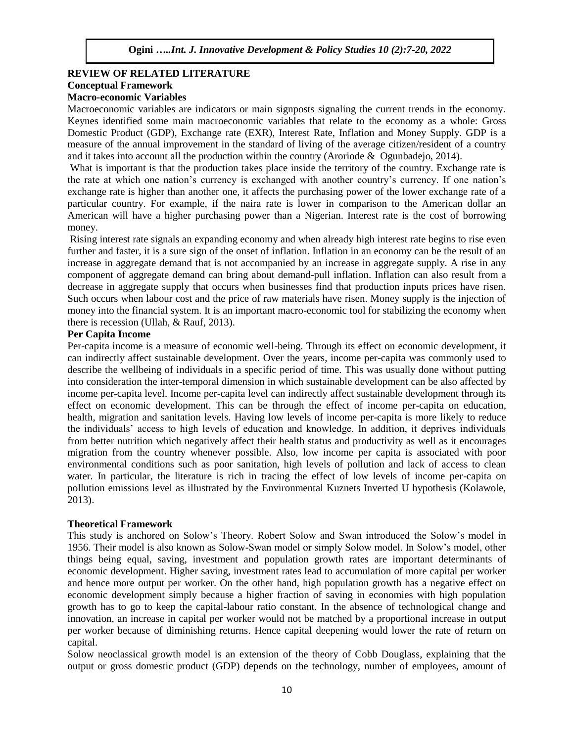#### **REVIEW OF RELATED LITERATURE Conceptual Framework Macro-economic Variables**

Macroeconomic variables are indicators or main signposts signaling the current trends in the economy. Keynes identified some main macroeconomic variables that relate to the economy as a whole: Gross Domestic Product (GDP), Exchange rate (EXR), Interest Rate, Inflation and Money Supply. GDP is a measure of the annual improvement in the standard of living of the average citizen/resident of a country and it takes into account all the production within the country (Aroriode & Ogunbadejo, 2014).

What is important is that the production takes place inside the territory of the country. Exchange rate is the rate at which one nation's currency is exchanged with another country's currency. If one nation's exchange rate is higher than another one, it affects the purchasing power of the lower exchange rate of a particular country. For example, if the naira rate is lower in comparison to the American dollar an American will have a higher purchasing power than a Nigerian. Interest rate is the cost of borrowing money.

Rising interest rate signals an expanding economy and when already high interest rate begins to rise even further and faster, it is a sure sign of the onset of inflation. Inflation in an economy can be the result of an increase in aggregate demand that is not accompanied by an increase in aggregate supply. A rise in any component of aggregate demand can bring about demand-pull inflation. Inflation can also result from a decrease in aggregate supply that occurs when businesses find that production inputs prices have risen. Such occurs when labour cost and the price of raw materials have risen. Money supply is the injection of money into the financial system. It is an important macro-economic tool for stabilizing the economy when there is recession (Ullah, & Rauf, 2013).

### **Per Capita Income**

Per-capita income is a measure of economic well-being. Through its effect on economic development, it can indirectly affect sustainable development. Over the years, income per-capita was commonly used to describe the wellbeing of individuals in a specific period of time. This was usually done without putting into consideration the inter-temporal dimension in which sustainable development can be also affected by income per-capita level. Income per-capita level can indirectly affect sustainable development through its effect on economic development. This can be through the effect of income per-capita on education, health, migration and sanitation levels. Having low levels of income per-capita is more likely to reduce the individuals' access to high levels of education and knowledge. In addition, it deprives individuals from better nutrition which negatively affect their health status and productivity as well as it encourages migration from the country whenever possible. Also, low income per capita is associated with poor environmental conditions such as poor sanitation, high levels of pollution and lack of access to clean water. In particular, the literature is rich in tracing the effect of low levels of income per-capita on pollution emissions level as illustrated by the Environmental Kuznets Inverted U hypothesis (Kolawole, 2013).

# **Theoretical Framework**

This study is anchored on Solow's Theory. Robert Solow and Swan introduced the Solow's model in 1956. Their model is also known as Solow-Swan model or simply Solow model. In Solow's model, other things being equal, saving, investment and population growth rates are important determinants of economic development. Higher saving, investment rates lead to accumulation of more capital per worker and hence more output per worker. On the other hand, high population growth has a negative effect on economic development simply because a higher fraction of saving in economies with high population growth has to go to keep the capital-labour ratio constant. In the absence of technological change and innovation, an increase in capital per worker would not be matched by a proportional increase in output per worker because of diminishing returns. Hence capital deepening would lower the rate of return on capital.

Solow neoclassical growth model is an extension of the theory of Cobb Douglass, explaining that the output or gross domestic product (GDP) depends on the technology, number of employees, amount of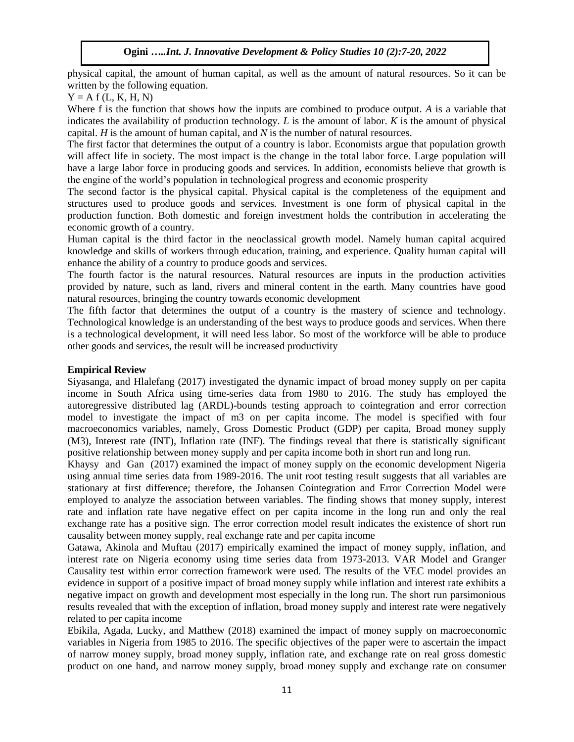physical capital, the amount of human capital, as well as the amount of natural resources. So it can be written by the following equation.

 $Y = A f(L, K, H, N)$ 

Where f is the function that shows how the inputs are combined to produce output. *A* is a variable that indicates the availability of production technology. *L* is the amount of labor. *K* is the amount of physical capital. *H* is the amount of human capital, and *N* is the number of natural resources.

The first factor that determines the output of a country is labor. Economists argue that population growth will affect life in society. The most impact is the change in the total labor force. Large population will have a large labor force in producing goods and services. In addition, economists believe that growth is the engine of the world's population in technological progress and economic prosperity

The second factor is the physical capital. Physical capital is the completeness of the equipment and structures used to produce goods and services. Investment is one form of physical capital in the production function. Both domestic and foreign investment holds the contribution in accelerating the economic growth of a country.

Human capital is the third factor in the neoclassical growth model. Namely human capital acquired knowledge and skills of workers through education, training, and experience. Quality human capital will enhance the ability of a country to produce goods and services.

The fourth factor is the natural resources. Natural resources are inputs in the production activities provided by nature, such as land, rivers and mineral content in the earth. Many countries have good natural resources, bringing the country towards economic development

The fifth factor that determines the output of a country is the mastery of science and technology. Technological knowledge is an understanding of the best ways to produce goods and services. When there is a technological development, it will need less labor. So most of the workforce will be able to produce other goods and services, the result will be increased productivity

# **Empirical Review**

Siyasanga, and Hlalefang (2017) investigated the dynamic impact of broad money supply on per capita income in South Africa using time-series data from 1980 to 2016. The study has employed the autoregressive distributed lag (ARDL)-bounds testing approach to cointegration and error correction model to investigate the impact of m3 on per capita income. The model is specified with four macroeconomics variables, namely, Gross Domestic Product (GDP) per capita, Broad money supply (M3), Interest rate (INT), Inflation rate (INF). The findings reveal that there is statistically significant positive relationship between money supply and per capita income both in short run and long run.

Khaysy and Gan (2017) examined the impact of money supply on the economic development Nigeria using annual time series data from 1989-2016. The unit root testing result suggests that all variables are stationary at first difference; therefore, the Johansen Cointegration and Error Correction Model were employed to analyze the association between variables. The finding shows that money supply, interest rate and inflation rate have negative effect on per capita income in the long run and only the real exchange rate has a positive sign. The error correction model result indicates the existence of short run causality between money supply, real exchange rate and per capita income

Gatawa, Akinola and Muftau (2017) empirically examined the impact of money supply, inflation, and interest rate on Nigeria economy using time series data from 1973-2013. VAR Model and Granger Causality test within error correction framework were used. The results of the VEC model provides an evidence in support of a positive impact of broad money supply while inflation and interest rate exhibits a negative impact on growth and development most especially in the long run. The short run parsimonious results revealed that with the exception of inflation, broad money supply and interest rate were negatively related to per capita income

Ebikila, Agada, Lucky, and Matthew (2018) examined the impact of money supply on macroeconomic variables in Nigeria from 1985 to 2016. The specific objectives of the paper were to ascertain the impact of narrow money supply, broad money supply, inflation rate, and exchange rate on real gross domestic product on one hand, and narrow money supply, broad money supply and exchange rate on consumer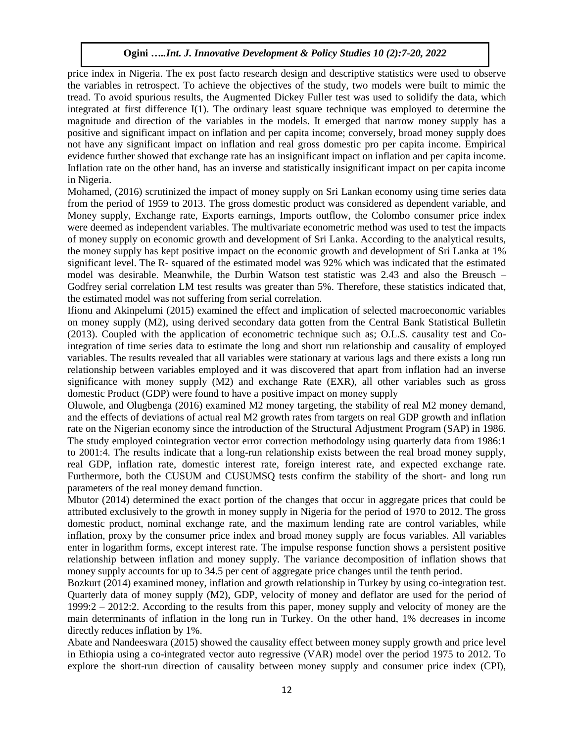price index in Nigeria. The ex post facto research design and descriptive statistics were used to observe the variables in retrospect. To achieve the objectives of the study, two models were built to mimic the tread. To avoid spurious results, the Augmented Dickey Fuller test was used to solidify the data, which integrated at first difference I(1). The ordinary least square technique was employed to determine the magnitude and direction of the variables in the models. It emerged that narrow money supply has a positive and significant impact on inflation and per capita income; conversely, broad money supply does not have any significant impact on inflation and real gross domestic pro per capita income. Empirical evidence further showed that exchange rate has an insignificant impact on inflation and per capita income. Inflation rate on the other hand, has an inverse and statistically insignificant impact on per capita income in Nigeria.

Mohamed, (2016) scrutinized the impact of money supply on Sri Lankan economy using time series data from the period of 1959 to 2013. The gross domestic product was considered as dependent variable, and Money supply, Exchange rate, Exports earnings, Imports outflow, the Colombo consumer price index were deemed as independent variables. The multivariate econometric method was used to test the impacts of money supply on economic growth and development of Sri Lanka. According to the analytical results, the money supply has kept positive impact on the economic growth and development of Sri Lanka at 1% significant level. The R- squared of the estimated model was 92% which was indicated that the estimated model was desirable. Meanwhile, the Durbin Watson test statistic was 2.43 and also the Breusch – Godfrey serial correlation LM test results was greater than 5%. Therefore, these statistics indicated that, the estimated model was not suffering from serial correlation.

Ifionu and Akinpelumi (2015) examined the effect and implication of selected macroeconomic variables on money supply (M2), using derived secondary data gotten from the Central Bank Statistical Bulletin (2013). Coupled with the application of econometric technique such as; O.L.S. causality test and Cointegration of time series data to estimate the long and short run relationship and causality of employed variables. The results revealed that all variables were stationary at various lags and there exists a long run relationship between variables employed and it was discovered that apart from inflation had an inverse significance with money supply (M2) and exchange Rate (EXR), all other variables such as gross domestic Product (GDP) were found to have a positive impact on money supply

Oluwole, and Olugbenga (2016) examined M2 money targeting, the stability of real M2 money demand, and the effects of deviations of actual real M2 growth rates from targets on real GDP growth and inflation rate on the Nigerian economy since the introduction of the Structural Adjustment Program (SAP) in 1986. The study employed cointegration vector error correction methodology using quarterly data from 1986:1 to 2001:4. The results indicate that a long-run relationship exists between the real broad money supply, real GDP, inflation rate, domestic interest rate, foreign interest rate, and expected exchange rate. Furthermore, both the CUSUM and CUSUMSQ tests confirm the stability of the short- and long run parameters of the real money demand function.

Mbutor (2014) determined the exact portion of the changes that occur in aggregate prices that could be attributed exclusively to the growth in money supply in Nigeria for the period of 1970 to 2012. The gross domestic product, nominal exchange rate, and the maximum lending rate are control variables, while inflation, proxy by the consumer price index and broad money supply are focus variables. All variables enter in logarithm forms, except interest rate. The impulse response function shows a persistent positive relationship between inflation and money supply. The variance decomposition of inflation shows that money supply accounts for up to 34.5 per cent of aggregate price changes until the tenth period.

Bozkurt (2014) examined money, inflation and growth relationship in Turkey by using co-integration test. Quarterly data of money supply (M2), GDP, velocity of money and deflator are used for the period of 1999:2 – 2012:2. According to the results from this paper, money supply and velocity of money are the main determinants of inflation in the long run in Turkey. On the other hand, 1% decreases in income directly reduces inflation by 1%.

Abate and Nandeeswara (2015) showed the causality effect between money supply growth and price level in Ethiopia using a co-integrated vector auto regressive (VAR) model over the period 1975 to 2012. To explore the short-run direction of causality between money supply and consumer price index (CPI),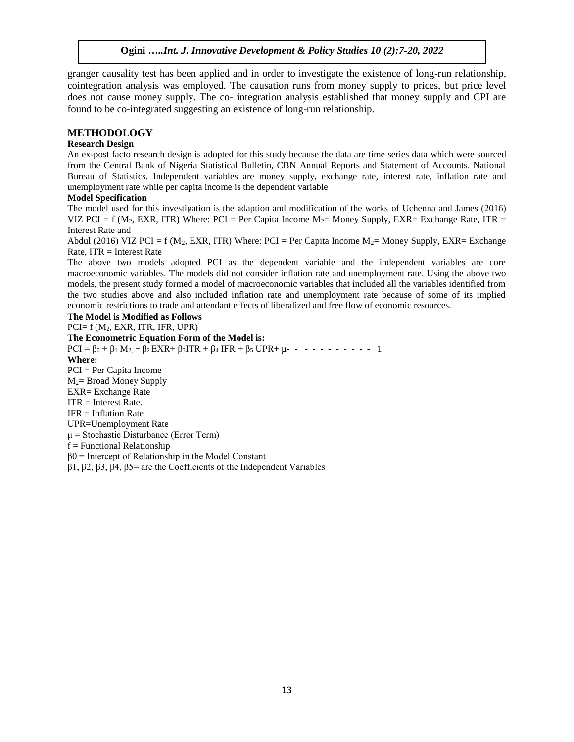granger causality test has been applied and in order to investigate the existence of long-run relationship, cointegration analysis was employed. The causation runs from money supply to prices, but price level does not cause money supply. The co- integration analysis established that money supply and CPI are found to be co-integrated suggesting an existence of long-run relationship.

#### **METHODOLOGY**

### **Research Design**

An ex-post facto research design is adopted for this study because the data are time series data which were sourced from the Central Bank of Nigeria Statistical Bulletin, CBN Annual Reports and Statement of Accounts. National Bureau of Statistics. Independent variables are money supply, exchange rate, interest rate, inflation rate and unemployment rate while per capita income is the dependent variable

#### **Model Specification**

The model used for this investigation is the adaption and modification of the works of Uchenna and James (2016) VIZ PCI = f ( $M_2$ , EXR, ITR) Where: PCI = Per Capita Income  $M_2$ = Money Supply, EXR= Exchange Rate, ITR = Interest Rate and

Abdul (2016) VIZ PCI = f ( $M_2$ , EXR, ITR) Where: PCI = Per Capita Income  $M_2$ = Money Supply, EXR= Exchange  $Rate, ITR = Interest Rate$ 

The above two models adopted PCI as the dependent variable and the independent variables are core macroeconomic variables. The models did not consider inflation rate and unemployment rate. Using the above two models, the present study formed a model of macroeconomic variables that included all the variables identified from the two studies above and also included inflation rate and unemployment rate because of some of its implied economic restrictions to trade and attendant effects of liberalized and free flow of economic resources.

### **The Model is Modified as Follows**

 $PCI = f (M_2, EXR, ITR, IFR, UPR)$ **The Econometric Equation Form of the Model is:**  $PCI = \beta_0 + \beta_1 M_2 + \beta_2 EXR + \beta_3 ITR + \beta_4 IFR + \beta_5 UPR + \mu - - - - - - - - - - - 1$ **Where:**  PCI = Per Capita Income M2= Broad Money Supply EXR= Exchange Rate ITR = Interest Rate. IFR = Inflation Rate UPR=Unemployment Rate μ = Stochastic Disturbance (Error Term)  $f =$  Functional Relationship  $β0 =$  Intercept of Relationship in the Model Constant β1, β2, β3, β4, β5= are the Coefficients of the Independent Variables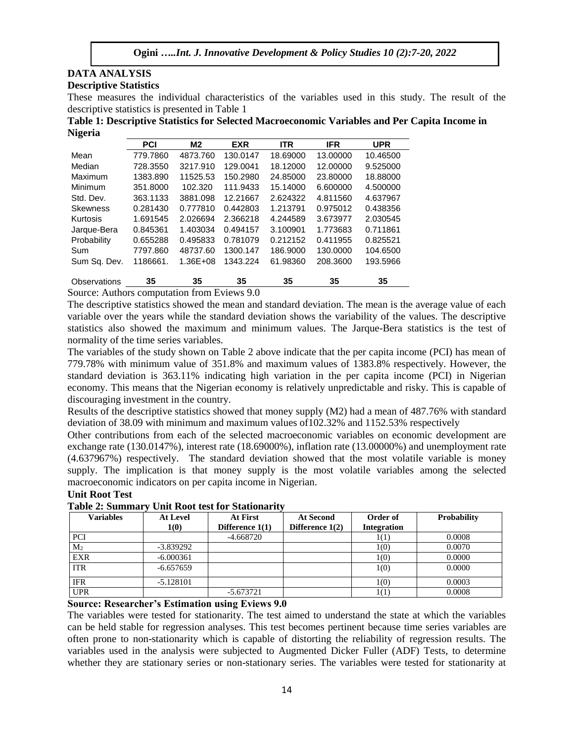# **DATA ANALYSIS Descriptive Statistics**

These measures the individual characteristics of the variables used in this study. The result of the descriptive statistics is presented in Table 1

**Table 1: Descriptive Statistics for Selected Macroeconomic Variables and Per Capita Income in Nigeria** 

|                 | <b>PCI</b> | M <sub>2</sub> | <b>EXR</b> | <b>ITR</b> | <b>IFR</b> | <b>UPR</b> |
|-----------------|------------|----------------|------------|------------|------------|------------|
| Mean            | 779.7860   | 4873.760       | 130.0147   | 18.69000   | 13.00000   | 10.46500   |
| Median          | 728.3550   | 3217.910       | 129.0041   | 18.12000   | 12.00000   | 9.525000   |
| Maximum         | 1383.890   | 11525.53       | 150,2980   | 24.85000   | 23.80000   | 18.88000   |
| Minimum         | 351.8000   | 102.320        | 111.9433   | 15.14000   | 6.600000   | 4.500000   |
| Std. Dev.       | 363.1133   | 3881.098       | 12.21667   | 2.624322   | 4.811560   | 4.637967   |
| <b>Skewness</b> | 0.281430   | 0.777810       | 0.442803   | 1.213791   | 0.975012   | 0.438356   |
| Kurtosis        | 1.691545   | 2.026694       | 2.366218   | 4.244589   | 3.673977   | 2.030545   |
| Jarque-Bera     | 0.845361   | 1.403034       | 0.494157   | 3.100901   | 1.773683   | 0.711861   |
| Probability     | 0.655288   | 0.495833       | 0.781079   | 0.212152   | 0.411955   | 0.825521   |
| Sum             | 7797.860   | 48737.60       | 1300.147   | 186.9000   | 130.0000   | 104.6500   |
| Sum Sq. Dev.    | 1186661.   | $1.36E + 08$   | 1343.224   | 61.98360   | 208.3600   | 193.5966   |
| Observations    | 35         | 35             | 35         | 35         | 35         | 35         |

Source: Authors computation from Eviews 9.0

The descriptive statistics showed the mean and standard deviation. The mean is the average value of each variable over the years while the standard deviation shows the variability of the values. The descriptive statistics also showed the maximum and minimum values. The Jarque-Bera statistics is the test of normality of the time series variables.

The variables of the study shown on Table 2 above indicate that the per capita income (PCI) has mean of 779.78% with minimum value of 351.8% and maximum values of 1383.8% respectively. However, the standard deviation is 363.11% indicating high variation in the per capita income (PCI) in Nigerian economy. This means that the Nigerian economy is relatively unpredictable and risky. This is capable of discouraging investment in the country.

Results of the descriptive statistics showed that money supply (M2) had a mean of 487.76% with standard deviation of 38.09 with minimum and maximum values of102.32% and 1152.53% respectively

Other contributions from each of the selected macroeconomic variables on economic development are exchange rate (130.0147%), interest rate (18.69000%), inflation rate (13.00000%) and unemployment rate (4.637967%) respectively. The standard deviation showed that the most volatile variable is money supply. The implication is that money supply is the most volatile variables among the selected macroeconomic indicators on per capita income in Nigerian.

# **Unit Root Test**

| <b>Variables</b> | <b>At Level</b><br>1(0) | <b>At First</b><br>Difference $1(1)$ | <b>At Second</b><br>Difference $1(2)$ | Order of<br><b>Integration</b> | <b>Probability</b> |
|------------------|-------------------------|--------------------------------------|---------------------------------------|--------------------------------|--------------------|
| <b>PCI</b>       |                         | $-4.668720$                          |                                       | 1(1)                           | 0.0008             |
| M <sub>2</sub>   | $-3.839292$             |                                      |                                       | 1(0)                           | 0.0070             |
| <b>EXR</b>       | $-6.000361$             |                                      |                                       | 1(0)                           | 0.0000             |
| <b>ITR</b>       | $-6.657659$             |                                      |                                       | 1(0)                           | 0.0000             |
| <b>IFR</b>       | $-5.128101$             |                                      |                                       | 1(0)                           | 0.0003             |
| <b>UPR</b>       |                         | $-5.673721$                          |                                       | 1(1)                           | 0.0008             |

# **Table 2: Summary Unit Root test for Stationarity**

# **Source: Researcher's Estimation using Eviews 9.0**

The variables were tested for stationarity. The test aimed to understand the state at which the variables can be held stable for regression analyses. This test becomes pertinent because time series variables are often prone to non-stationarity which is capable of distorting the reliability of regression results. The variables used in the analysis were subjected to Augmented Dicker Fuller (ADF) Tests, to determine whether they are stationary series or non-stationary series. The variables were tested for stationarity at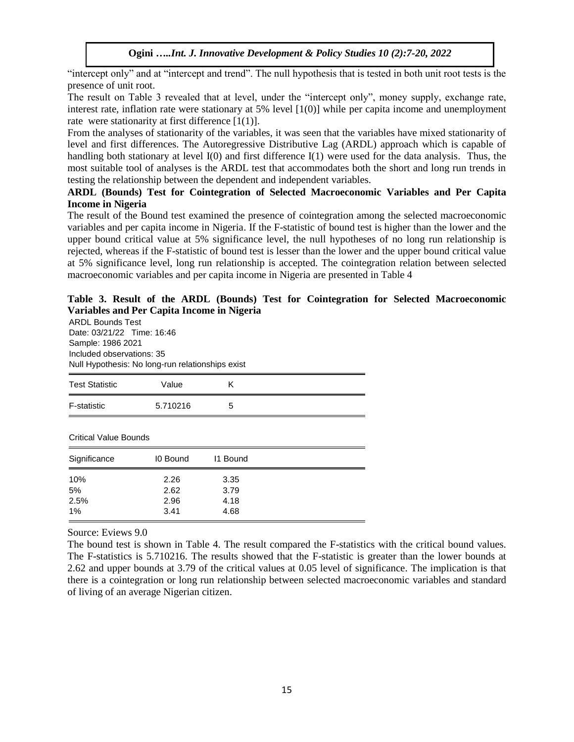"intercept only" and at "intercept and trend". The null hypothesis that is tested in both unit root tests is the presence of unit root.

The result on Table 3 revealed that at level, under the "intercept only", money supply, exchange rate, interest rate, inflation rate were stationary at 5% level [1(0)] while per capita income and unemployment rate were stationarity at first difference [1(1)].

From the analyses of stationarity of the variables, it was seen that the variables have mixed stationarity of level and first differences. The Autoregressive Distributive Lag (ARDL) approach which is capable of handling both stationary at level I(0) and first difference I(1) were used for the data analysis. Thus, the most suitable tool of analyses is the ARDL test that accommodates both the short and long run trends in testing the relationship between the dependent and independent variables.

# **ARDL (Bounds) Test for Cointegration of Selected Macroeconomic Variables and Per Capita Income in Nigeria**

The result of the Bound test examined the presence of cointegration among the selected macroeconomic variables and per capita income in Nigeria. If the F-statistic of bound test is higher than the lower and the upper bound critical value at 5% significance level, the null hypotheses of no long run relationship is rejected, whereas if the F-statistic of bound test is lesser than the lower and the upper bound critical value at 5% significance level, long run relationship is accepted. The cointegration relation between selected macroeconomic variables and per capita income in Nigeria are presented in Table 4

# **Table 3. Result of the ARDL (Bounds) Test for Cointegration for Selected Macroeconomic Variables and Per Capita Income in Nigeria**

ARDL Bounds Test Date: 03/21/22 Time: 16:46 Sample: 1986 2021 Included observations: 35 Null Hypothesis: No long-run relationships exist

| <b>Test Statistic</b>        | Value    | Κ        |  |
|------------------------------|----------|----------|--|
| F-statistic                  | 5.710216 | 5        |  |
| <b>Critical Value Bounds</b> |          |          |  |
|                              |          |          |  |
| Significance                 | 10 Bound | 11 Bound |  |
| 10%                          | 2.26     | 3.35     |  |
| 5%                           | 2.62     | 3.79     |  |
| 2.5%                         | 2.96     | 4.18     |  |
| 1%                           | 3.41     | 4.68     |  |
|                              |          |          |  |

Source: Eviews 9.0

The bound test is shown in Table 4. The result compared the F-statistics with the critical bound values. The F-statistics is 5.710216. The results showed that the F-statistic is greater than the lower bounds at 2.62 and upper bounds at 3.79 of the critical values at 0.05 level of significance. The implication is that there is a cointegration or long run relationship between selected macroeconomic variables and standard of living of an average Nigerian citizen.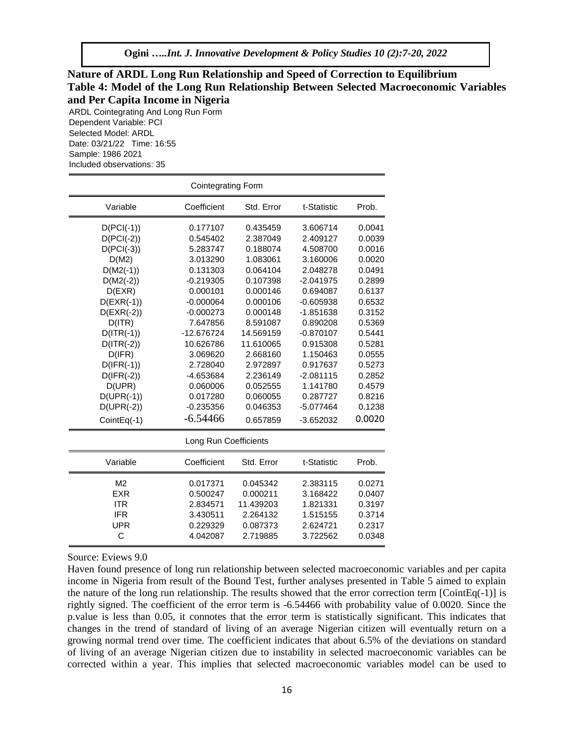# **Nature of ARDL Long Run Relationship and Speed of Correction to Equilibrium Table 4: Model of the Long Run Relationship Between Selected Macroeconomic Variables and Per Capita Income in Nigeria**

ARDL Cointegrating And Long Run Form Dependent Variable: PCI Selected Model: ARDL Date: 03/21/22 Time: 16:55 Sample: 1986 2021 Included observations: 35

| <b>Cointegrating Form</b> |             |            |             |        |  |
|---------------------------|-------------|------------|-------------|--------|--|
| Variable                  | Coefficient | Std. Error | t-Statistic | Prob.  |  |
| $D(PCI(-1))$              | 0.177107    | 0.435459   | 3.606714    | 0.0041 |  |
| $D(PCI(-2))$              | 0.545402    | 2.387049   | 2.409127    | 0.0039 |  |
| $D(PCI(-3))$              | 5.283747    | 0.188074   | 4.508700    | 0.0016 |  |
| D(M2)                     | 3.013290    | 1.083061   | 3.160006    | 0.0020 |  |
| $D(M2(-1))$               | 0.131303    | 0.064104   | 2.048278    | 0.0491 |  |
| $D(M2(-2))$               | $-0.219305$ | 0.107398   | $-2.041975$ | 0.2899 |  |
| D(EXR)                    | 0.000101    | 0.000146   | 0.694087    | 0.6137 |  |
| $D(EXR(-1))$              | $-0.000064$ | 0.000106   | $-0.605938$ | 0.6532 |  |
| $D(EXR(-2))$              | $-0.000273$ | 0.000148   | $-1.851638$ | 0.3152 |  |
| D(ITR)                    | 7.647856    | 8.591087   | 0.890208    | 0.5369 |  |
| $D(ITR(-1))$              | -12.676724  | 14.569159  | $-0.870107$ | 0.5441 |  |
| $D(ITR(-2))$              | 10.626786   | 11.610065  | 0.915308    | 0.5281 |  |
| D(IFR)                    | 3.069620    | 2.668160   | 1.150463    | 0.0555 |  |
| $D(IFR(-1))$              | 2.728040    | 2.972897   | 0.917637    | 0.5273 |  |
| $D(IFR(-2))$              | -4.653684   | 2.236149   | $-2.081115$ | 0.2852 |  |
| D(UPR)                    | 0.060006    | 0.052555   | 1.141780    | 0.4579 |  |
| $D(UPR(-1))$              | 0.017280    | 0.060055   | 0.287727    | 0.8216 |  |
| $D(UPR(-2))$              | $-0.235356$ | 0.046353   | $-5.077464$ | 0.1238 |  |
| CointEq(-1)               | $-6.54466$  | 0.657859   | $-3.652032$ | 0.0020 |  |
| Long Run Coefficients     |             |            |             |        |  |
| Variable                  | Coefficient | Std. Error | t-Statistic | Prob.  |  |
| M <sub>2</sub>            | 0.017371    | 0.045342   | 2.383115    | 0.0271 |  |
| <b>EXR</b>                | 0.500247    | 0.000211   | 3.168422    | 0.0407 |  |
| <b>ITR</b>                | 2.834571    | 11.439203  | 1.821331    | 0.3197 |  |
| <b>IFR</b>                | 3.430511    | 2.264132   | 1.515155    | 0.3714 |  |
| <b>UPR</b>                | 0.229329    | 0.087373   | 2.624721    | 0.2317 |  |
| C                         | 4.042087    | 2.719885   | 3.722562    | 0.0348 |  |

#### Source: Eviews 9.0

Haven found presence of long run relationship between selected macroeconomic variables and per capita income in Nigeria from result of the Bound Test, further analyses presented in Table 5 aimed to explain the nature of the long run relationship. The results showed that the error correction term [CointEq(-1)] is rightly signed. The coefficient of the error term is -6.54466 with probability value of 0.0020. Since the p.value is less than 0.05, it connotes that the error term is statistically significant. This indicates that changes in the trend of standard of living of an average Nigerian citizen will eventually return on a growing normal trend over time. The coefficient indicates that about 6.5% of the deviations on standard of living of an average Nigerian citizen due to instability in selected macroeconomic variables can be corrected within a year. This implies that selected macroeconomic variables model can be used to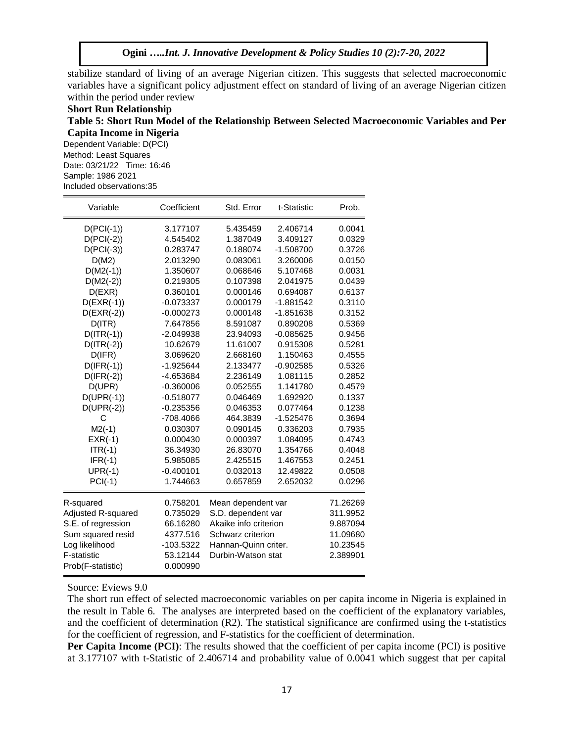stabilize standard of living of an average Nigerian citizen. This suggests that selected macroeconomic variables have a significant policy adjustment effect on standard of living of an average Nigerian citizen within the period under review

### **Short Run Relationship Table 5: Short Run Model of the Relationship Between Selected Macroeconomic Variables and Per Capita Income in Nigeria**

Dependent Variable: D(PCI) Method: Least Squares Date: 03/21/22 Time: 16:46 Sample: 1986 2021 Included observations:35

| Variable                       | Coefficient | Std. Error            | t-Statistic | Prob.    |
|--------------------------------|-------------|-----------------------|-------------|----------|
| $D(PCI(-1))$                   | 3.177107    | 5.435459              | 2.406714    | 0.0041   |
| $D(PCI(-2))$                   | 4.545402    | 1.387049              | 3.409127    | 0.0329   |
| $D(PCI(-3))$                   | 0.283747    | 0.188074              | $-1.508700$ | 0.3726   |
| D(M2)                          | 2.013290    | 0.083061              | 3.260006    | 0.0150   |
| $D(M2(-1))$                    | 1.350607    | 0.068646              | 5.107468    | 0.0031   |
| $D(M2(-2))$                    | 0.219305    | 0.107398              | 2.041975    | 0.0439   |
| D(EXR)                         | 0.360101    | 0.000146              | 0.694087    | 0.6137   |
| $D(EXR(-1))$                   | $-0.073337$ | 0.000179              | $-1.881542$ | 0.3110   |
| $D(EXR(-2))$                   | $-0.000273$ | 0.000148              | -1.851638   | 0.3152   |
| D(ITR)                         | 7.647856    | 8.591087              | 0.890208    | 0.5369   |
| $D(ITR(-1))$                   | $-2.049938$ | 23.94093              | $-0.085625$ | 0.9456   |
| $D(ITR(-2))$                   | 10.62679    | 11.61007              | 0.915308    | 0.5281   |
| D(IFR)                         | 3.069620    | 2.668160              | 1.150463    | 0.4555   |
| $D(IFR(-1))$                   | $-1.925644$ | 2.133477              | $-0.902585$ | 0.5326   |
| $D(IFR(-2))$                   | -4.653684   | 2.236149              | 1.081115    | 0.2852   |
| D(UPR)                         | $-0.360006$ | 0.052555              | 1.141780    | 0.4579   |
| $D(UPR(-1))$                   | $-0.518077$ | 0.046469              | 1.692920    | 0.1337   |
| $D(UPR(-2))$                   | $-0.235356$ | 0.046353              | 0.077464    | 0.1238   |
| С                              | -708.4066   | 464.3839              | -1.525476   | 0.3694   |
| $M2(-1)$                       | 0.030307    | 0.090145              | 0.336203    | 0.7935   |
| $EXR(-1)$                      | 0.000430    | 0.000397              | 1.084095    | 0.4743   |
| $ITR(-1)$                      | 36.34930    | 26.83070              | 1.354766    | 0.4048   |
| $IFR(-1)$                      | 5.985085    | 2.425515              | 1.467553    | 0.2451   |
| $UPR(-1)$                      | $-0.400101$ | 0.032013              | 12.49822    | 0.0508   |
| $PCI(-1)$                      | 1.744663    | 0.657859              | 2.652032    | 0.0296   |
| 0.758201<br>R-squared          |             | Mean dependent var    |             | 71.26269 |
| Adjusted R-squared<br>0.735029 |             | S.D. dependent var    | 311.9952    |          |
| S.E. of regression             | 66.16280    | Akaike info criterion |             | 9.887094 |
| Sum squared resid              | 4377.516    | Schwarz criterion     |             | 11.09680 |
| Log likelihood                 | $-103.5322$ | Hannan-Quinn criter.  |             | 10.23545 |
| <b>F-statistic</b>             | 53.12144    | Durbin-Watson stat    |             | 2.389901 |
| Prob(F-statistic)              | 0.000990    |                       |             |          |

Source: Eviews 9.0

The short run effect of selected macroeconomic variables on per capita income in Nigeria is explained in the result in Table 6. The analyses are interpreted based on the coefficient of the explanatory variables, and the coefficient of determination (R2). The statistical significance are confirmed using the t-statistics for the coefficient of regression, and F-statistics for the coefficient of determination.

**Per Capita Income (PCI):** The results showed that the coefficient of per capita income (PCI) is positive at 3.177107 with t-Statistic of 2.406714 and probability value of 0.0041 which suggest that per capital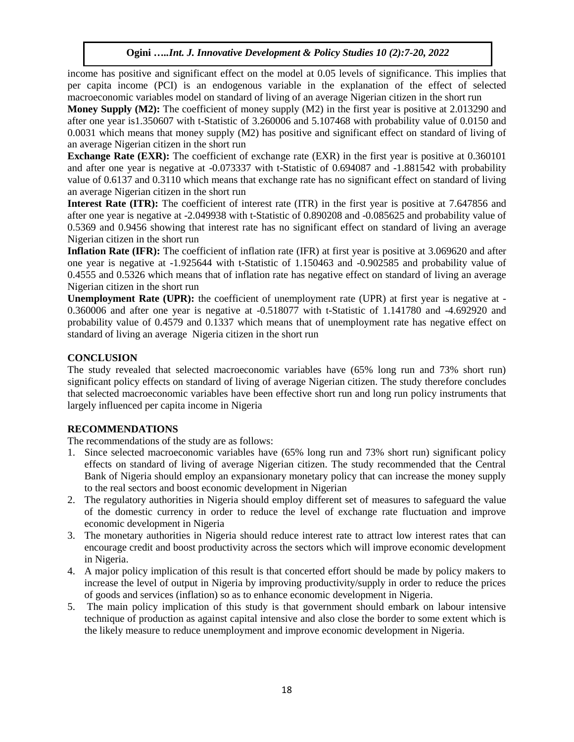income has positive and significant effect on the model at 0.05 levels of significance. This implies that per capita income (PCI) is an endogenous variable in the explanation of the effect of selected macroeconomic variables model on standard of living of an average Nigerian citizen in the short run

**Money Supply (M2):** The coefficient of money supply (M2) in the first year is positive at 2.013290 and after one year is1.350607 with t-Statistic of 3.260006 and 5.107468 with probability value of 0.0150 and 0.0031 which means that money supply (M2) has positive and significant effect on standard of living of an average Nigerian citizen in the short run

**Exchange Rate (EXR):** The coefficient of exchange rate (EXR) in the first year is positive at 0.360101 and after one year is negative at -0.073337 with t-Statistic of 0.694087 and -1.881542 with probability value of 0.6137 and 0.3110 which means that exchange rate has no significant effect on standard of living an average Nigerian citizen in the short run

**Interest Rate (ITR):** The coefficient of interest rate (ITR) in the first year is positive at 7.647856 and after one year is negative at -2.049938 with t-Statistic of 0.890208 and -0.085625 and probability value of 0.5369 and 0.9456 showing that interest rate has no significant effect on standard of living an average Nigerian citizen in the short run

**Inflation Rate (IFR):** The coefficient of inflation rate (IFR) at first year is positive at 3.069620 and after one year is negative at -1.925644 with t-Statistic of 1.150463 and -0.902585 and probability value of 0.4555 and 0.5326 which means that of inflation rate has negative effect on standard of living an average Nigerian citizen in the short run

**Unemployment Rate (UPR):** the coefficient of unemployment rate (UPR) at first year is negative at -0.360006 and after one year is negative at -0.518077 with t-Statistic of 1.141780 and -4.692920 and probability value of 0.4579 and 0.1337 which means that of unemployment rate has negative effect on standard of living an average Nigeria citizen in the short run

# **CONCLUSION**

The study revealed that selected macroeconomic variables have (65% long run and 73% short run) significant policy effects on standard of living of average Nigerian citizen. The study therefore concludes that selected macroeconomic variables have been effective short run and long run policy instruments that largely influenced per capita income in Nigeria

# **RECOMMENDATIONS**

The recommendations of the study are as follows:

- 1. Since selected macroeconomic variables have (65% long run and 73% short run) significant policy effects on standard of living of average Nigerian citizen. The study recommended that the Central Bank of Nigeria should employ an expansionary monetary policy that can increase the money supply to the real sectors and boost economic development in Nigerian
- 2. The regulatory authorities in Nigeria should employ different set of measures to safeguard the value of the domestic currency in order to reduce the level of exchange rate fluctuation and improve economic development in Nigeria
- 3. The monetary authorities in Nigeria should reduce interest rate to attract low interest rates that can encourage credit and boost productivity across the sectors which will improve economic development in Nigeria.
- 4. A major policy implication of this result is that concerted effort should be made by policy makers to increase the level of output in Nigeria by improving productivity/supply in order to reduce the prices of goods and services (inflation) so as to enhance economic development in Nigeria.
- 5. The main policy implication of this study is that government should embark on labour intensive technique of production as against capital intensive and also close the border to some extent which is the likely measure to reduce unemployment and improve economic development in Nigeria.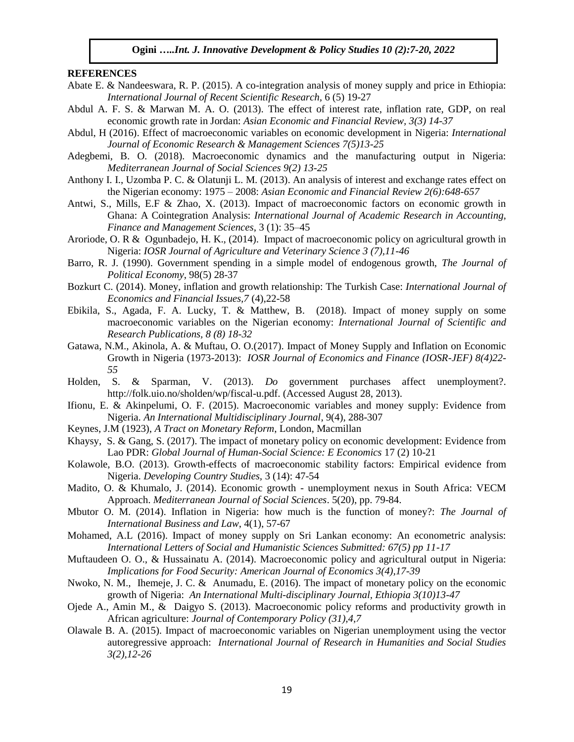#### **REFERENCES**

- Abate E. & Nandeeswara, R. P. (2015). A co-integration analysis of money supply and price in Ethiopia: *International Journal of Recent Scientific Research,* 6 (5) 19-27
- Abdul A. F. S. & Marwan M. A. O. (2013). The effect of interest rate, inflation rate, GDP, on real economic growth rate in Jordan: *Asian Economic and Financial Review, 3(3) 14-37*
- Abdul, H (2016). Effect of macroeconomic variables on economic development in Nigeria: *International Journal of Economic Research & Management Sciences 7(5)13-25*
- Adegbemi, B. O. (2018). Macroeconomic dynamics and the manufacturing output in Nigeria: *Mediterranean Journal of Social Sciences 9(2) 13-25*
- Anthony I. I., Uzomba P. C. & Olatunji L. M. (2013). An analysis of interest and exchange rates effect on the Nigerian economy: 1975 – 2008: *Asian Economic and Financial Review 2(6):648-657*
- Antwi, S., Mills, E.F & Zhao, X. (2013). Impact of macroeconomic factors on economic growth in Ghana: A Cointegration Analysis: *International Journal of Academic Research in Accounting, Finance and Management Sciences*, 3 (1): 35–45
- Aroriode, O. R & Ogunbadejo, H. K., (2014). Impact of macroeconomic policy on agricultural growth in Nigeria: *IOSR Journal of Agriculture and Veterinary Science 3 (7),11-46*
- Barro, R. J. (1990). Government spending in a simple model of endogenous growth, *The Journal of Political Economy*, 98(5) 28-37
- Bozkurt C. (2014). Money, inflation and growth relationship: The Turkish Case: *International Journal of Economics and Financial Issues,7* (4),22-58
- Ebikila, S., Agada, F. A. Lucky, T. & Matthew, B. (2018). Impact of money supply on some macroeconomic variables on the Nigerian economy: *International Journal of Scientific and Research Publications, 8 (8) 18-32*
- Gatawa, N.M., Akinola, A. & Muftau, O. O.(2017). Impact of Money Supply and Inflation on Economic Growth in Nigeria (1973-2013): *IOSR Journal of Economics and Finance (IOSR-JEF) 8(4)22- 55*
- Holden, S. & Sparman, V. (2013). *Do* government purchases affect unemployment?. http://folk.uio.no/sholden/wp/fiscal-u.pdf. (Accessed August 28, 2013).
- Ifionu, E. & Akinpelumi, O. F. (2015). Macroeconomic variables and money supply: Evidence from Nigeria. *An International Multidisciplinary Journal*, 9(4), 288-307
- Keynes, J.M (1923), *A Tract on Monetary Reform*, London, Macmillan
- Khaysy, S. & Gang, S. (2017). The impact of monetary policy on economic development: Evidence from Lao PDR: *Global Journal of Human-Social Science: E Economics* 17 (2) 10-21
- Kolawole, B.O. (2013). Growth-effects of macroeconomic stability factors: Empirical evidence from Nigeria. *Developing Country Studies,* 3 (14): 47-54
- Madito, O. & Khumalo, J. (2014). Economic growth unemployment nexus in South Africa: VECM Approach. *Mediterranean Journal of Social Sciences*. 5(20), pp. 79-84.
- Mbutor O. M. (2014). Inflation in Nigeria: how much is the function of money?: *The Journal of International Business and Law*, 4(1), 57-67
- Mohamed, A.L (2016). Impact of money supply on Sri Lankan economy: An econometric analysis: *International Letters of Social and Humanistic Sciences Submitted: 67(5) pp 11-17*
- Muftaudeen O. O., & Hussainatu A. (2014). Macroeconomic policy and agricultural output in Nigeria: *Implications for Food Security: American Journal of Economics 3(4),17-39*
- Nwoko, N. M., Ihemeje, J. C. & Anumadu, E. (2016). The impact of monetary policy on the economic growth of Nigeria: *An International Multi-disciplinary Journal, Ethiopia 3(10)13-47*
- Ojede A., Amin M., & Daigyo S. (2013). Macroeconomic policy reforms and productivity growth in African agriculture: *Journal of Contemporary Policy (31),4,7*
- Olawale B. A. (2015). Impact of macroeconomic variables on Nigerian unemployment using the vector autoregressive approach: *International Journal of Research in Humanities and Social Studies 3(2),12-26*